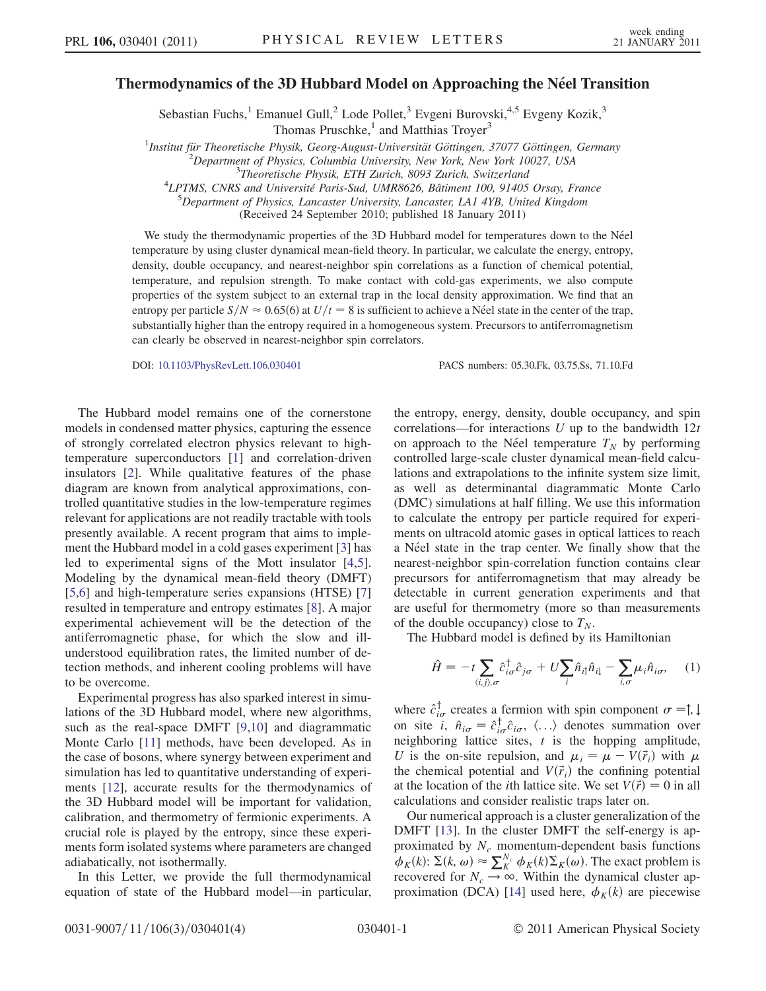## Thermodynamics of the 3D Hubbard Model on Approaching the Néel Transition

Sebastian Fuchs,<sup>1</sup> Emanuel Gull,<sup>2</sup> Lode Pollet,<sup>3</sup> Evgeni Burovski,<sup>4,5</sup> Evgeny Kozik,<sup>3</sup> Thomas Pruschke, $1$  and Matthias Troyer<sup>3</sup>

<sup>1</sup>Institut für Theoretische Physik, Georg-August-Universität Göttingen, 37077 Göttingen, Germany<br><sup>2</sup>Dengriment of Physics, Columbia University, New York, New York 10027, USA

<sup>2</sup>Department of Physics, Columbia University, New York, New York 10027, USA  $\frac{3}{100}$ Theoretische Physik, ETH Zurich, 8093 Zurich, Switzerland

LPTMS, CNRS and Université Paris-Sud, UMR8626, Bâtiment 100, 91405 Orsay, France<br>5 Department of Physics, Lancaster University, Lancaster J.A.LAVB, United Kingdom

 ${}^{5}$ Department of Physics, Lancaster University, Lancaster, LA1 4YB, United Kingdom

(Received 24 September 2010; published 18 January 2011)

We study the thermodynamic properties of the 3D Hubbard model for temperatures down to the Néel temperature by using cluster dynamical mean-field theory. In particular, we calculate the energy, entropy, density, double occupancy, and nearest-neighbor spin correlations as a function of chemical potential, temperature, and repulsion strength. To make contact with cold-gas experiments, we also compute properties of the system subject to an external trap in the local density approximation. We find that an entropy per particle  $S/N \approx 0.65(6)$  at  $U/t = 8$  is sufficient to achieve a Néel state in the center of the trap, substantially higher than the entropy required in a homogeneous system. Precursors to antiferromagnetism can clearly be observed in nearest-neighbor spin correlators.

DOI: [10.1103/PhysRevLett.106.030401](http://dx.doi.org/10.1103/PhysRevLett.106.030401) PACS numbers: 05.30.Fk, 03.75.Ss, 71.10.Fd

The Hubbard model remains one of the cornerstone models in condensed matter physics, capturing the essence of strongly correlated electron physics relevant to hightemperature superconductors [[1](#page-3-0)] and correlation-driven insulators [\[2](#page-3-1)]. While qualitative features of the phase diagram are known from analytical approximations, controlled quantitative studies in the low-temperature regimes relevant for applications are not readily tractable with tools presently available. A recent program that aims to implement the Hubbard model in a cold gases experiment [\[3](#page-3-2)] has led to experimental signs of the Mott insulator [[4](#page-3-3),[5\]](#page-3-4). Modeling by the dynamical mean-field theory (DMFT) [\[5,](#page-3-4)[6](#page-3-5)] and high-temperature series expansions (HTSE) [\[7\]](#page-3-6) resulted in temperature and entropy estimates [[8\]](#page-3-7). A major experimental achievement will be the detection of the antiferromagnetic phase, for which the slow and illunderstood equilibration rates, the limited number of detection methods, and inherent cooling problems will have to be overcome.

Experimental progress has also sparked interest in simulations of the 3D Hubbard model, where new algorithms, such as the real-space DMFT [\[9,](#page-3-8)[10\]](#page-3-9) and diagrammatic Monte Carlo [[11](#page-3-10)] methods, have been developed. As in the case of bosons, where synergy between experiment and simulation has led to quantitative understanding of experiments [\[12\]](#page-3-11), accurate results for the thermodynamics of the 3D Hubbard model will be important for validation, calibration, and thermometry of fermionic experiments. A crucial role is played by the entropy, since these experiments form isolated systems where parameters are changed adiabatically, not isothermally.

In this Letter, we provide the full thermodynamical equation of state of the Hubbard model—in particular, the entropy, energy, density, double occupancy, and spin correlations—for interactions  $U$  up to the bandwidth  $12t$ on approach to the Néel temperature  $T_N$  by performing controlled large-scale cluster dynamical mean-field calculations and extrapolations to the infinite system size limit, as well as determinantal diagrammatic Monte Carlo (DMC) simulations at half filling. We use this information to calculate the entropy per particle required for experiments on ultracold atomic gases in optical lattices to reach a Néel state in the trap center. We finally show that the nearest-neighbor spin-correlation function contains clear precursors for antiferromagnetism that may already be detectable in current generation experiments and that are useful for thermometry (more so than measurements of the double occupancy) close to  $T_N$ .

The Hubbard model is defined by its Hamiltonian

$$
\hat{H} = -t \sum_{\langle i,j \rangle,\sigma} \hat{c}_{i\sigma}^{\dagger} \hat{c}_{j\sigma} + U \sum_{i} \hat{n}_{i\uparrow} \hat{n}_{i\downarrow} - \sum_{i,\sigma} \mu_{i} \hat{n}_{i\sigma}, \quad (1)
$$

where  $\hat{c}^{\dagger}_{i\sigma}$  creates a fermion with spin component  $\sigma = \uparrow, \downarrow$ on site i,  $\hat{n}_{i\sigma} = \hat{c}_{i\sigma}^{\dagger} \hat{c}_{i\sigma}$ ,  $\langle \ldots \rangle$  denotes summation over<br>neighboring lattice sites t is the bonning amplitude neighboring lattice sites,  $t$  is the hopping amplitude, U is the on-site repulsion, and  $\mu_i = \mu - V(\vec{r}_i)$  with  $\mu$ the chemical potential and  $V(\vec{r}_i)$  the confining potential at the location of the *i*th lattice site. We set  $V(\vec{r}) = 0$  in all calculations and consider realistic traps later on.

Our numerical approach is a cluster generalization of the DMFT [[13\]](#page-3-12). In the cluster DMFT the self-energy is approximated by  $N_c$  momentum-dependent basis functions  $\phi_K(k)$ :  $\Sigma(k, \omega) \approx \sum_{K}^{N_c} \phi_K(k) \Sigma_K(\omega)$ . The exact problem is<br>recovered for  $N \to \infty$ . Within the dynamical cluster anrecovered for  $N_c \rightarrow \infty$ . Within the dynamical cluster ap-proximation (DCA) [[14\]](#page-3-13) used here,  $\phi_K(k)$  are piecewise

<sup>&</sup>lt;sup>5</sup>Theoretische Physik, ETH Zurich, 8093 Zurich, Switzerland<br><sup>4</sup>LPTMS, CNRS and Université Paris Sud, UMR8626, Bâtiment 100, 01405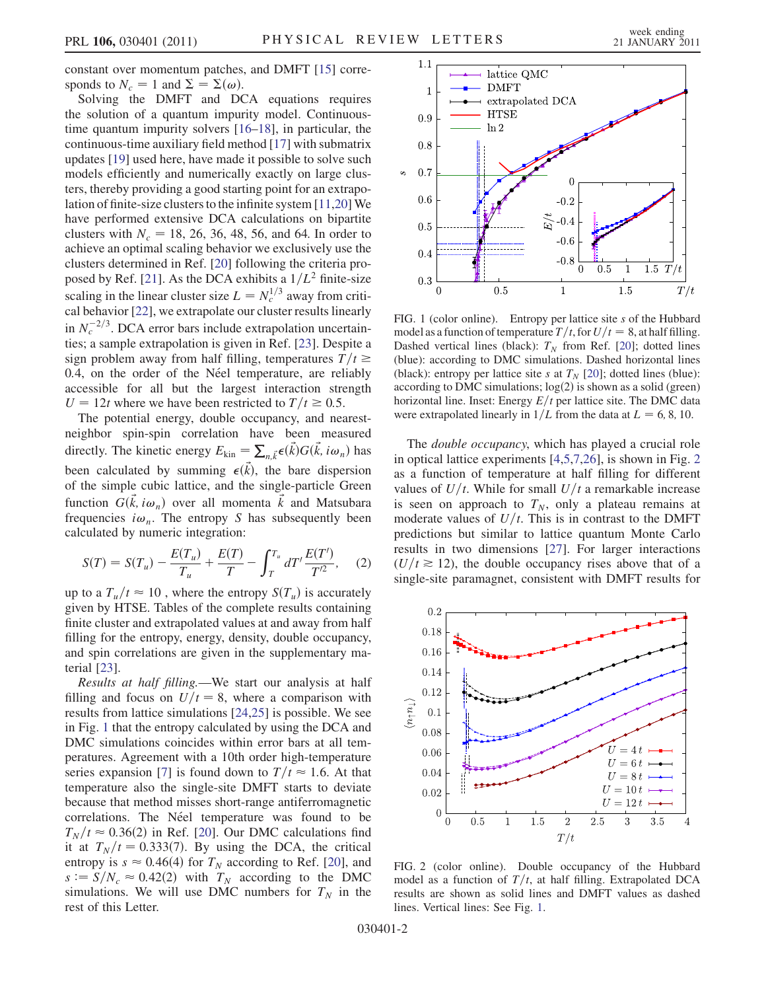constant over momentum patches, and DMFT [[15](#page-3-14)] corresponds to  $N_c = 1$  and  $\Sigma = \Sigma(\omega)$ .

Solving the DMFT and DCA equations requires the solution of a quantum impurity model. Continuoustime quantum impurity solvers [[16](#page-3-15)[–18\]](#page-3-16), in particular, the continuous-time auxiliary field method [[17](#page-3-17)] with submatrix updates [[19](#page-3-18)] used here, have made it possible to solve such models efficiently and numerically exactly on large clusters, thereby providing a good starting point for an extrapolation of finite-size clusters to the infinite system [[11,](#page-3-10)[20](#page-3-19)] We have performed extensive DCA calculations on bipartite clusters with  $N_c = 18, 26, 36, 48, 56,$  and 64. In order to achieve an optimal scaling behavior we exclusively use the clusters determined in Ref. [[20\]](#page-3-19) following the criteria pro-posed by Ref. [[21](#page-3-20)]. As the DCA exhibits a  $1/L^2$  finite-size scaling in the linear cluster size  $L = N_c^{1/3}$  away from critical behavior [\[22\]](#page-3-21), we extrapolate our cluster results linearly in  $N_c^{-2/3}$ . DCA error bars include extrapolation uncertainties; a sample extrapolation is given in Ref. [[23](#page-3-22)]. Despite a sign problem away from half filling, temperatures  $T/t \ge$ 0.4, on the order of the Néel temperature, are reliably accessible for all but the largest interaction strength  $U = 12t$  where we have been restricted to  $T/t \ge 0.5$ .

The potential energy, double occupancy, and nearestneighbor spin-spin correlation have been measured directly. The kinetic energy  $E_{\text{kin}} = \sum_{n,\vec{k}} \epsilon(\vec{k}) G(\vec{k}, i\omega_n)$  has been calculated by summing  $\epsilon(\vec{k})$ , the bare dispersion of the simple cubic lattice, and the single-particle Green function  $G(\vec{k}, i\omega_n)$  over all momenta  $\vec{k}$  and Matsubara frequencies  $i\omega_n$ . The entropy S has subsequently been calculated by numeric integration:

$$
S(T) = S(T_u) - \frac{E(T_u)}{T_u} + \frac{E(T)}{T} - \int_{T}^{T_u} dT' \frac{E(T')}{T'^2}, \quad (2)
$$

up to a  $T_u/t \approx 10$ , where the entropy  $S(T_u)$  is accurately given by HTSE. Tables of the complete results containing finite cluster and extrapolated values at and away from half filling for the entropy, energy, density, double occupancy, and spin correlations are given in the supplementary material [\[23\]](#page-3-22).

Results at half filling.—We start our analysis at half filling and focus on  $U/t = 8$ , where a comparison with results from lattice simulations [\[24,](#page-3-23)[25\]](#page-3-24) is possible. We see in Fig. [1](#page-1-0) that the entropy calculated by using the DCA and DMC simulations coincides within error bars at all temperatures. Agreement with a 10th order high-temperature series expansion [[7](#page-3-6)] is found down to  $T/t \approx 1.6$ . At that temperature also the single-site DMFT starts to deviate because that method misses short-range antiferromagnetic correlations. The Néel temperature was found to be  $T_N/t \approx 0.36(2)$  in Ref. [[20](#page-3-19)]. Our DMC calculations find it at  $T_N/t = 0.333(7)$ . By using the DCA, the critical entropy is  $s \approx 0.46(4)$  for  $T_N$  according to Ref. [\[20\]](#page-3-19), and  $s := S/N_c \approx 0.42(2)$  with  $T_N$  according to the DMC simulations. We will use DMC numbers for  $T_N$  in the rest of this Letter.

<span id="page-1-0"></span>

FIG. 1 (color online). Entropy per lattice site s of the Hubbard model as a function of temperature  $T/t$ , for  $U/t=8$ , at half filling. Dashed vertical lines (black):  $T_N$  from Ref. [\[20\]](#page-3-19); dotted lines (blue): according to DMC simulations. Dashed horizontal lines (black): entropy per lattice site s at  $T_N$  [\[20\]](#page-3-19); dotted lines (blue): according to DMC simulations;  $log(2)$  is shown as a solid (green) horizontal line. Inset: Energy  $E/t$  per lattice site. The DMC data were extrapolated linearly in  $1/L$  from the data at  $L = 6, 8, 10$ .

The *double occupancy*, which has played a crucial role in optical lattice experiments [[4](#page-3-3),[5](#page-3-4)[,7,](#page-3-6)[26\]](#page-3-25), is shown in Fig. [2](#page-1-1) as a function of temperature at half filling for different values of  $U/t$ . While for small  $U/t$  a remarkable increase is seen on approach to  $T_N$ , only a plateau remains at moderate values of  $U/t$ . This is in contrast to the DMFT predictions but similar to lattice quantum Monte Carlo results in two dimensions [\[27\]](#page-3-26). For larger interactions  $(U/t \ge 12)$ , the double occupancy rises above that of a single-site paramagnet, consistent with DMFT results for

<span id="page-1-1"></span>

FIG. 2 (color online). Double occupancy of the Hubbard model as a function of  $T/t$ , at half filling. Extrapolated DCA results are shown as solid lines and DMFT values as dashed lines. Vertical lines: See Fig. [1](#page-1-0).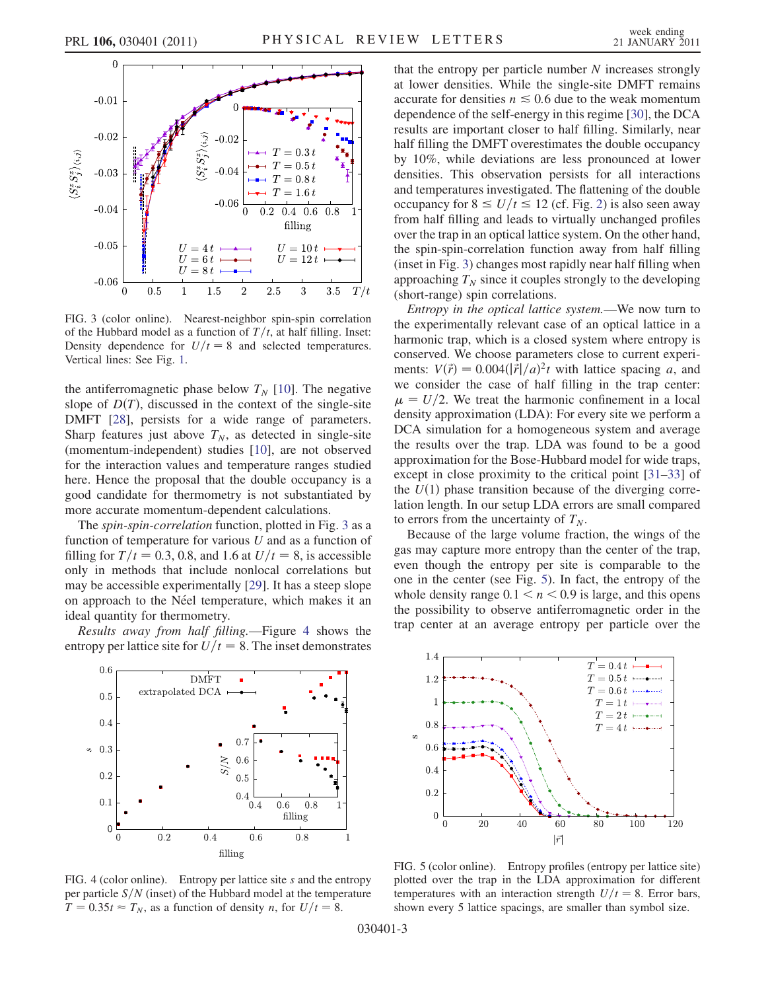<span id="page-2-0"></span>

FIG. 3 (color online). Nearest-neighbor spin-spin correlation of the Hubbard model as a function of  $T/t$ , at half filling. Inset: Density dependence for  $U/t=8$  and selected temperatures. Vertical lines: See Fig. [1.](#page-1-0)

the antiferromagnetic phase below  $T_N$  [[10](#page-3-9)]. The negative slope of  $D(T)$ , discussed in the context of the single-site DMFT [\[28\]](#page-3-27), persists for a wide range of parameters. Sharp features just above  $T_N$ , as detected in single-site (momentum-independent) studies [\[10\]](#page-3-9), are not observed for the interaction values and temperature ranges studied here. Hence the proposal that the double occupancy is a good candidate for thermometry is not substantiated by more accurate momentum-dependent calculations.

The spin-spin-correlation function, plotted in Fig. [3](#page-2-0) as a function of temperature for various  $U$  and as a function of filling for  $T/t = 0.3, 0.8$ , and 1.6 at  $U/t = 8$ , is accessible only in methods that include nonlocal correlations but may be accessible experimentally [\[29\]](#page-3-28). It has a steep slope on approach to the Néel temperature, which makes it an ideal quantity for thermometry.

Results away from half filling.—Figure [4](#page-2-1) shows the entropy per lattice site for  $U/t = 8$ . The inset demonstrates

<span id="page-2-1"></span>

FIG. 4 (color online). Entropy per lattice site s and the entropy per particle  $S/N$  (inset) of the Hubbard model at the temperature  $T = 0.35t \approx T_N$ , as a function of density *n*, for  $U/t = 8$ .

that the entropy per particle number  $N$  increases strongly at lower densities. While the single-site DMFT remains accurate for densities  $n \leq 0.6$  due to the weak momentum dependence of the self-energy in this regime [\[30\]](#page-3-29), the DCA results are important closer to half filling. Similarly, near half filling the DMFT overestimates the double occupancy by 10%, while deviations are less pronounced at lower densities. This observation persists for all interactions and temperatures investigated. The flattening of the double occupancy for  $8 \leq U/t \leq 12$  $8 \leq U/t \leq 12$  (cf. Fig. 2) is also seen away from half filling and leads to virtually unchanged profiles over the trap in an optical lattice system. On the other hand, the spin-spin-correlation function away from half filling (inset in Fig. [3\)](#page-2-0) changes most rapidly near half filling when approaching  $T_N$  since it couples strongly to the developing (short-range) spin correlations.

Entropy in the optical lattice system.—We now turn to the experimentally relevant case of an optical lattice in a harmonic trap, which is a closed system where entropy is conserved. We choose parameters close to current experiments:  $V(\vec{r}) = 0.004(|\dot{\vec{r}}|/a)^2 t$  with lattice spacing a, and<br>we consider the case of half filling in the tran center: we consider the case of half filling in the trap center:  $\mu = U/2$ . We treat the harmonic confinement in a local<br>density approximation (I DA): For every site we perform a density approximation (LDA): For every site we perform a DCA simulation for a homogeneous system and average the results over the trap. LDA was found to be a good approximation for the Bose-Hubbard model for wide traps, except in close proximity to the critical point [\[31](#page-3-30)–[33](#page-3-31)] of the  $U(1)$  phase transition because of the diverging correlation length. In our setup LDA errors are small compared to errors from the uncertainty of  $T_N$ .

Because of the large volume fraction, the wings of the gas may capture more entropy than the center of the trap, even though the entropy per site is comparable to the one in the center (see Fig. [5\)](#page-2-2). In fact, the entropy of the whole density range  $0.1 < n < 0.9$  is large, and this opens the possibility to observe antiferromagnetic order in the trap center at an average entropy per particle over the

<span id="page-2-2"></span>

FIG. 5 (color online). Entropy profiles (entropy per lattice site) plotted over the trap in the LDA approximation for different temperatures with an interaction strength  $U/t = 8$ . Error bars, shown every 5 lattice spacings, are smaller than symbol size.